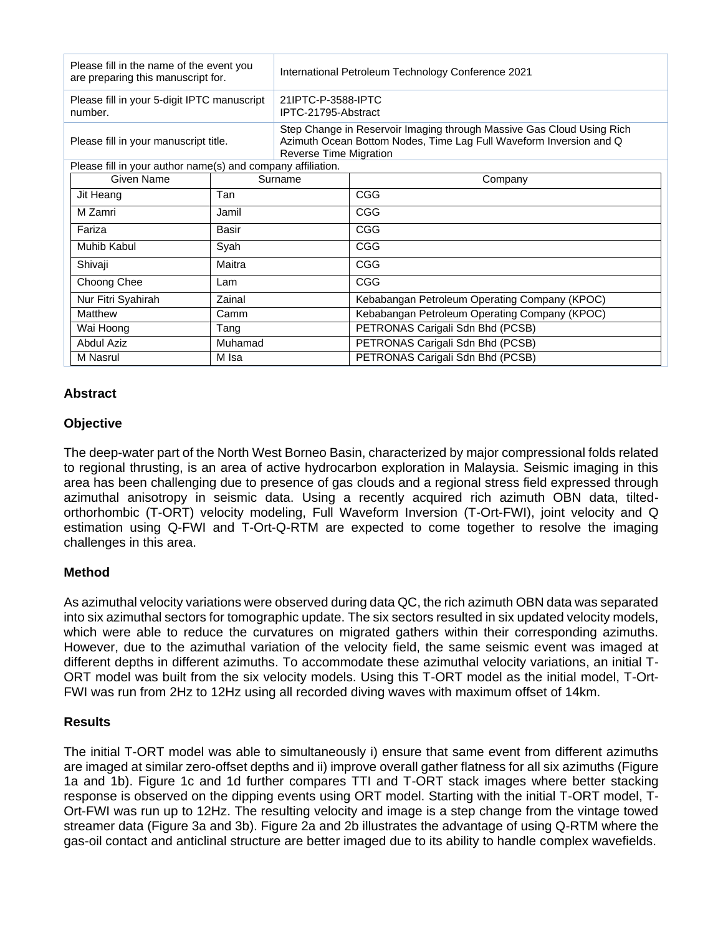| Please fill in the name of the event you<br>are preparing this manuscript for. |         | International Petroleum Technology Conference 2021                                                                                                                    |                                               |
|--------------------------------------------------------------------------------|---------|-----------------------------------------------------------------------------------------------------------------------------------------------------------------------|-----------------------------------------------|
| Please fill in your 5-digit IPTC manuscript<br>number.                         |         | 21IPTC-P-3588-IPTC<br>IPTC-21795-Abstract                                                                                                                             |                                               |
| Please fill in your manuscript title.                                          |         | Step Change in Reservoir Imaging through Massive Gas Cloud Using Rich<br>Azimuth Ocean Bottom Nodes, Time Lag Full Waveform Inversion and Q<br>Reverse Time Migration |                                               |
| Please fill in your author name(s) and company affiliation.                    |         |                                                                                                                                                                       |                                               |
| Given Name                                                                     | Surname |                                                                                                                                                                       | Company                                       |
| Jit Heang                                                                      | Tan     |                                                                                                                                                                       | CGG                                           |
| M Zamri                                                                        | Jamil   |                                                                                                                                                                       | <b>CGG</b>                                    |
| Fariza                                                                         | Basir   |                                                                                                                                                                       | <b>CGG</b>                                    |
| Muhib Kabul                                                                    | Syah    |                                                                                                                                                                       | <b>CGG</b>                                    |
| Shivaji                                                                        | Maitra  |                                                                                                                                                                       | <b>CGG</b>                                    |
| Choong Chee                                                                    | Lam     |                                                                                                                                                                       | <b>CGG</b>                                    |
| Nur Fitri Syahirah                                                             | Zainal  |                                                                                                                                                                       | Kebabangan Petroleum Operating Company (KPOC) |
| Matthew                                                                        | Camm    |                                                                                                                                                                       | Kebabangan Petroleum Operating Company (KPOC) |
| Wai Hoong                                                                      | Tang    |                                                                                                                                                                       | PETRONAS Carigali Sdn Bhd (PCSB)              |
| Abdul Aziz                                                                     | Muhamad |                                                                                                                                                                       | PETRONAS Carigali Sdn Bhd (PCSB)              |
| M Nasrul                                                                       | M Isa   |                                                                                                                                                                       | PETRONAS Carigali Sdn Bhd (PCSB)              |

# **Abstract**

## **Objective**

The deep-water part of the North West Borneo Basin, characterized by major compressional folds related to regional thrusting, is an area of active hydrocarbon exploration in Malaysia. Seismic imaging in this area has been challenging due to presence of gas clouds and a regional stress field expressed through azimuthal anisotropy in seismic data. Using a recently acquired rich azimuth OBN data, tiltedorthorhombic (T-ORT) velocity modeling, Full Waveform Inversion (T-Ort-FWI), joint velocity and Q estimation using Q-FWI and T-Ort-Q-RTM are expected to come together to resolve the imaging challenges in this area.

## **Method**

As azimuthal velocity variations were observed during data QC, the rich azimuth OBN data was separated into six azimuthal sectors for tomographic update. The six sectors resulted in six updated velocity models, which were able to reduce the curvatures on migrated gathers within their corresponding azimuths. However, due to the azimuthal variation of the velocity field, the same seismic event was imaged at different depths in different azimuths. To accommodate these azimuthal velocity variations, an initial T-ORT model was built from the six velocity models. Using this T-ORT model as the initial model, T-Ort-FWI was run from 2Hz to 12Hz using all recorded diving waves with maximum offset of 14km.

## **Results**

The initial T-ORT model was able to simultaneously i) ensure that same event from different azimuths are imaged at similar zero-offset depths and ii) improve overall gather flatness for all six azimuths (Figure 1a and 1b). Figure 1c and 1d further compares TTI and T-ORT stack images where better stacking response is observed on the dipping events using ORT model. Starting with the initial T-ORT model, T-Ort-FWI was run up to 12Hz. The resulting velocity and image is a step change from the vintage towed streamer data (Figure 3a and 3b). Figure 2a and 2b illustrates the advantage of using Q-RTM where the gas-oil contact and anticlinal structure are better imaged due to its ability to handle complex wavefields.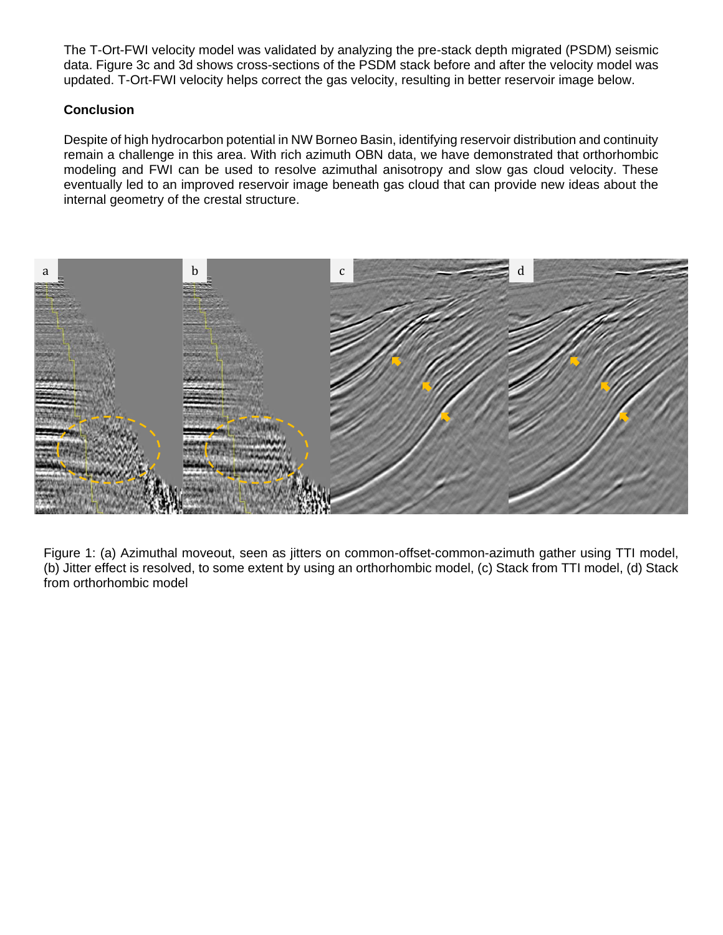The T-Ort-FWI velocity model was validated by analyzing the pre-stack depth migrated (PSDM) seismic data. Figure 3c and 3d shows cross-sections of the PSDM stack before and after the velocity model was updated. T-Ort-FWI velocity helps correct the gas velocity, resulting in better reservoir image below.

# **Conclusion**

Despite of high hydrocarbon potential in NW Borneo Basin, identifying reservoir distribution and continuity remain a challenge in this area. With rich azimuth OBN data, we have demonstrated that orthorhombic modeling and FWI can be used to resolve azimuthal anisotropy and slow gas cloud velocity. These eventually led to an improved reservoir image beneath gas cloud that can provide new ideas about the internal geometry of the crestal structure.



Figure 1: (a) Azimuthal moveout, seen as jitters on common-offset-common-azimuth gather using TTI model, (b) Jitter effect is resolved, to some extent by using an orthorhombic model, (c) Stack from TTI model, (d) Stack from orthorhombic model